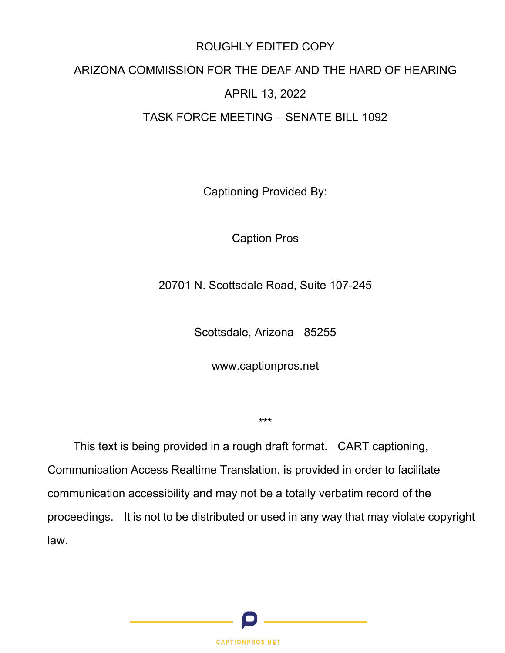# ROUGHLY EDITED COPY

# ARIZONA COMMISSION FOR THE DEAF AND THE HARD OF HEARING

# APRIL 13, 2022

# TASK FORCE MEETING – SENATE BILL 1092

Captioning Provided By:

Caption Pros

20701 N. Scottsdale Road, Suite 107-245

Scottsdale, Arizona 85255

www.captionpros.net

\*\*\*

This text is being provided in a rough draft format. CART captioning, Communication Access Realtime Translation, is provided in order to facilitate communication accessibility and may not be a totally verbatim record of the proceedings. It is not to be distributed or used in any way that may violate copyright law.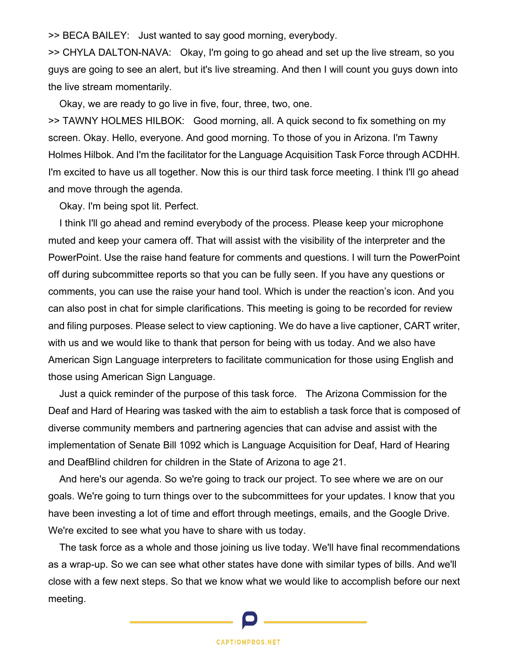>> BECA BAILEY: Just wanted to say good morning, everybody.

>> CHYLA DALTON-NAVA: Okay, I'm going to go ahead and set up the live stream, so you guys are going to see an alert, but it's live streaming. And then I will count you guys down into the live stream momentarily.

Okay, we are ready to go live in five, four, three, two, one.

>> TAWNY HOLMES HILBOK: Good morning, all. A quick second to fix something on my screen. Okay. Hello, everyone. And good morning. To those of you in Arizona. I'm Tawny Holmes Hilbok. And I'm the facilitator for the Language Acquisition Task Force through ACDHH. I'm excited to have us all together. Now this is our third task force meeting. I think I'll go ahead and move through the agenda.

Okay. I'm being spot lit. Perfect.

I think I'll go ahead and remind everybody of the process. Please keep your microphone muted and keep your camera off. That will assist with the visibility of the interpreter and the PowerPoint. Use the raise hand feature for comments and questions. I will turn the PowerPoint off during subcommittee reports so that you can be fully seen. If you have any questions or comments, you can use the raise your hand tool. Which is under the reaction's icon. And you can also post in chat for simple clarifications. This meeting is going to be recorded for review and filing purposes. Please select to view captioning. We do have a live captioner, CART writer, with us and we would like to thank that person for being with us today. And we also have American Sign Language interpreters to facilitate communication for those using English and those using American Sign Language.

Just a quick reminder of the purpose of this task force. The Arizona Commission for the Deaf and Hard of Hearing was tasked with the aim to establish a task force that is composed of diverse community members and partnering agencies that can advise and assist with the implementation of Senate Bill 1092 which is Language Acquisition for Deaf, Hard of Hearing and DeafBlind children for children in the State of Arizona to age 21.

And here's our agenda. So we're going to track our project. To see where we are on our goals. We're going to turn things over to the subcommittees for your updates. I know that you have been investing a lot of time and effort through meetings, emails, and the Google Drive. We're excited to see what you have to share with us today.

The task force as a whole and those joining us live today. We'll have final recommendations as a wrap-up. So we can see what other states have done with similar types of bills. And we'll close with a few next steps. So that we know what we would like to accomplish before our next meeting.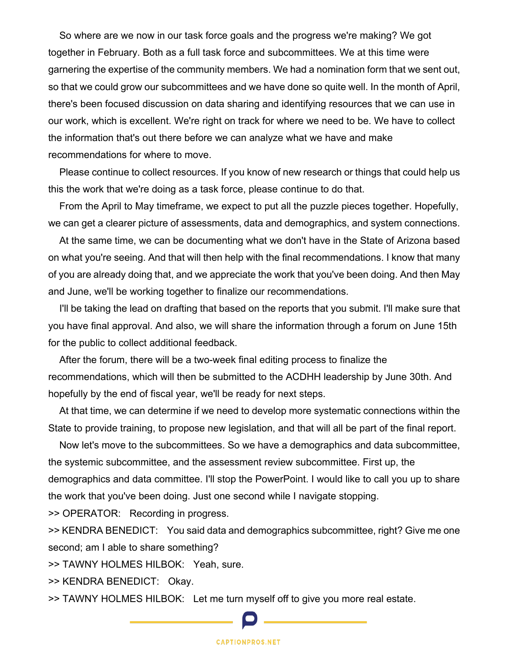So where are we now in our task force goals and the progress we're making? We got together in February. Both as a full task force and subcommittees. We at this time were garnering the expertise of the community members. We had a nomination form that we sent out, so that we could grow our subcommittees and we have done so quite well. In the month of April, there's been focused discussion on data sharing and identifying resources that we can use in our work, which is excellent. We're right on track for where we need to be. We have to collect the information that's out there before we can analyze what we have and make recommendations for where to move.

Please continue to collect resources. If you know of new research or things that could help us this the work that we're doing as a task force, please continue to do that.

From the April to May timeframe, we expect to put all the puzzle pieces together. Hopefully, we can get a clearer picture of assessments, data and demographics, and system connections.

At the same time, we can be documenting what we don't have in the State of Arizona based on what you're seeing. And that will then help with the final recommendations. I know that many of you are already doing that, and we appreciate the work that you've been doing. And then May and June, we'll be working together to finalize our recommendations.

I'll be taking the lead on drafting that based on the reports that you submit. I'll make sure that you have final approval. And also, we will share the information through a forum on June 15th for the public to collect additional feedback.

After the forum, there will be a two-week final editing process to finalize the recommendations, which will then be submitted to the ACDHH leadership by June 30th. And hopefully by the end of fiscal year, we'll be ready for next steps.

At that time, we can determine if we need to develop more systematic connections within the State to provide training, to propose new legislation, and that will all be part of the final report.

Now let's move to the subcommittees. So we have a demographics and data subcommittee, the systemic subcommittee, and the assessment review subcommittee. First up, the demographics and data committee. I'll stop the PowerPoint. I would like to call you up to share the work that you've been doing. Just one second while I navigate stopping.

>> OPERATOR: Recording in progress.

>> KENDRA BENEDICT: You said data and demographics subcommittee, right? Give me one second; am I able to share something?

>> TAWNY HOLMES HILBOK: Yeah, sure.

>> KENDRA BENEDICT: Okay.

>> TAWNY HOLMES HILBOK: Let me turn myself off to give you more real estate.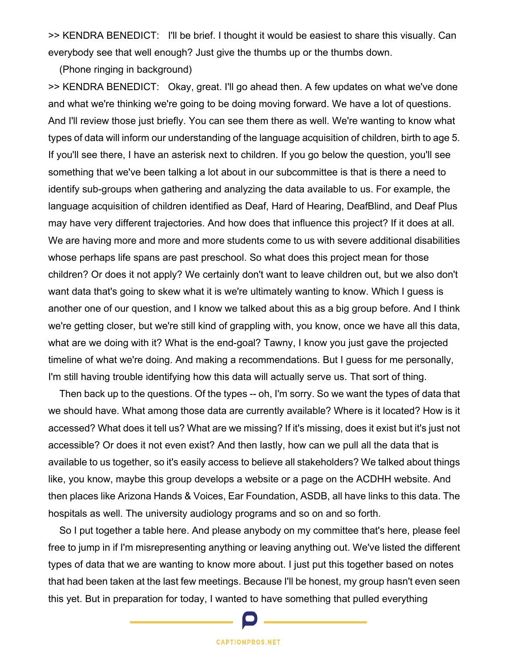>> KENDRA BENEDICT: I'll be brief. I thought it would be easiest to share this visually. Can everybody see that well enough? Just give the thumbs up or the thumbs down.

(Phone ringing in background)

>> KENDRA BENEDICT: Okay, great. I'll go ahead then. A few updates on what we've done and what we're thinking we're going to be doing moving forward. We have a lot of questions. And I'll review those just briefly. You can see them there as well. We're wanting to know what types of data will inform our understanding of the language acquisition of children, birth to age 5. If you'll see there, I have an asterisk next to children. If you go below the question, you'll see something that we've been talking a lot about in our subcommittee is that is there a need to identify sub-groups when gathering and analyzing the data available to us. For example, the language acquisition of children identified as Deaf, Hard of Hearing, DeafBlind, and Deaf Plus may have very different trajectories. And how does that influence this project? If it does at all. We are having more and more and more students come to us with severe additional disabilities whose perhaps life spans are past preschool. So what does this project mean for those children? Or does it not apply? We certainly don't want to leave children out, but we also don't want data that's going to skew what it is we're ultimately wanting to know. Which I guess is another one of our question, and I know we talked about this as a big group before. And I think we're getting closer, but we're still kind of grappling with, you know, once we have all this data, what are we doing with it? What is the end-goal? Tawny, I know you just gave the projected timeline of what we're doing. And making a recommendations. But I guess for me personally, I'm still having trouble identifying how this data will actually serve us. That sort of thing.

Then back up to the questions. Of the types -- oh, I'm sorry. So we want the types of data that we should have. What among those data are currently available? Where is it located? How is it accessed? What does it tell us? What are we missing? If it's missing, does it exist but it's just not accessible? Or does it not even exist? And then lastly, how can we pull all the data that is available to us together, so it's easily access to believe all stakeholders? We talked about things like, you know, maybe this group develops a website or a page on the ACDHH website. And then places like Arizona Hands & Voices, Ear Foundation, ASDB, all have links to this data. The hospitals as well. The university audiology programs and so on and so forth.

So I put together a table here. And please anybody on my committee that's here, please feel free to jump in if I'm misrepresenting anything or leaving anything out. We've listed the different types of data that we are wanting to know more about. I just put this together based on notes that had been taken at the last few meetings. Because I'll be honest, my group hasn't even seen this yet. But in preparation for today, I wanted to have something that pulled everything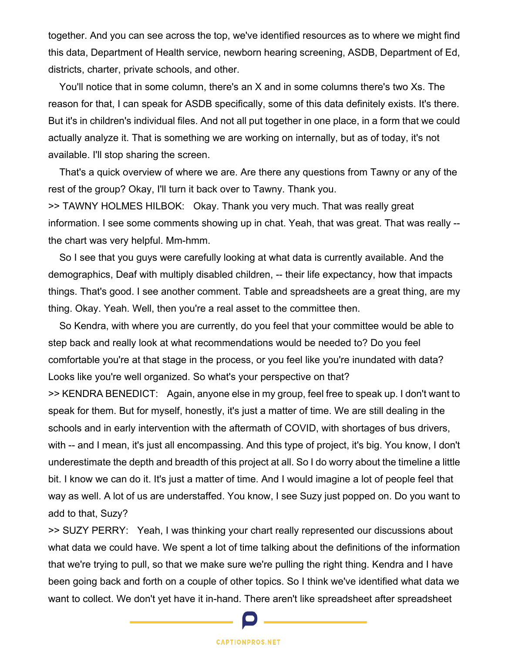together. And you can see across the top, we've identified resources as to where we might find this data, Department of Health service, newborn hearing screening, ASDB, Department of Ed, districts, charter, private schools, and other.

You'll notice that in some column, there's an X and in some columns there's two Xs. The reason for that, I can speak for ASDB specifically, some of this data definitely exists. It's there. But it's in children's individual files. And not all put together in one place, in a form that we could actually analyze it. That is something we are working on internally, but as of today, it's not available. I'll stop sharing the screen.

That's a quick overview of where we are. Are there any questions from Tawny or any of the rest of the group? Okay, I'll turn it back over to Tawny. Thank you.

>> TAWNY HOLMES HILBOK: Okay. Thank you very much. That was really great information. I see some comments showing up in chat. Yeah, that was great. That was really - the chart was very helpful. Mm-hmm.

So I see that you guys were carefully looking at what data is currently available. And the demographics, Deaf with multiply disabled children, -- their life expectancy, how that impacts things. That's good. I see another comment. Table and spreadsheets are a great thing, are my thing. Okay. Yeah. Well, then you're a real asset to the committee then.

So Kendra, with where you are currently, do you feel that your committee would be able to step back and really look at what recommendations would be needed to? Do you feel comfortable you're at that stage in the process, or you feel like you're inundated with data? Looks like you're well organized. So what's your perspective on that?

>> KENDRA BENEDICT: Again, anyone else in my group, feel free to speak up. I don't want to speak for them. But for myself, honestly, it's just a matter of time. We are still dealing in the schools and in early intervention with the aftermath of COVID, with shortages of bus drivers, with -- and I mean, it's just all encompassing. And this type of project, it's big. You know, I don't underestimate the depth and breadth of this project at all. So I do worry about the timeline a little bit. I know we can do it. It's just a matter of time. And I would imagine a lot of people feel that way as well. A lot of us are understaffed. You know, I see Suzy just popped on. Do you want to add to that, Suzy?

>> SUZY PERRY: Yeah, I was thinking your chart really represented our discussions about what data we could have. We spent a lot of time talking about the definitions of the information that we're trying to pull, so that we make sure we're pulling the right thing. Kendra and I have been going back and forth on a couple of other topics. So I think we've identified what data we want to collect. We don't yet have it in-hand. There aren't like spreadsheet after spreadsheet

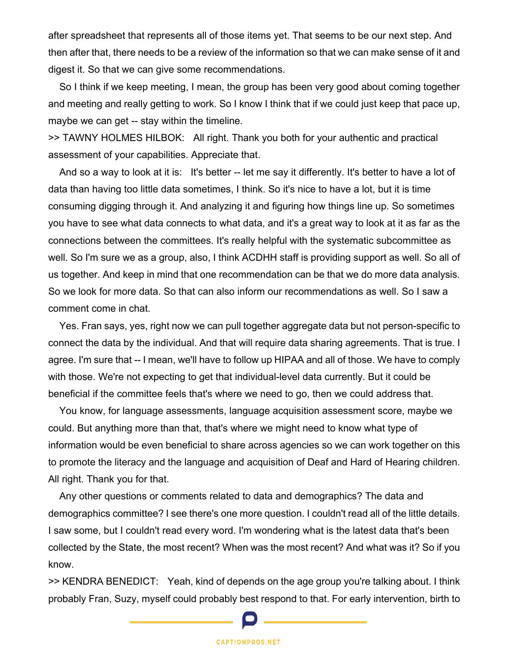after spreadsheet that represents all of those items yet. That seems to be our next step. And then after that, there needs to be a review of the information so that we can make sense of it and digest it. So that we can give some recommendations.

So I think if we keep meeting, I mean, the group has been very good about coming together and meeting and really getting to work. So I know I think that if we could just keep that pace up, maybe we can get -- stay within the timeline.

>> TAWNY HOLMES HILBOK: All right. Thank you both for your authentic and practical assessment of your capabilities. Appreciate that.

And so a way to look at it is: It's better -- let me say it differently. It's better to have a lot of data than having too little data sometimes, I think. So it's nice to have a lot, but it is time consuming digging through it. And analyzing it and figuring how things line up. So sometimes you have to see what data connects to what data, and it's a great way to look at it as far as the connections between the committees. It's really helpful with the systematic subcommittee as well. So I'm sure we as a group, also, I think ACDHH staff is providing support as well. So all of us together. And keep in mind that one recommendation can be that we do more data analysis. So we look for more data. So that can also inform our recommendations as well. So I saw a comment come in chat.

Yes. Fran says, yes, right now we can pull together aggregate data but not person-specific to connect the data by the individual. And that will require data sharing agreements. That is true. I agree. I'm sure that -- I mean, we'll have to follow up HIPAA and all of those. We have to comply with those. We're not expecting to get that individual-level data currently. But it could be beneficial if the committee feels that's where we need to go, then we could address that.

You know, for language assessments, language acquisition assessment score, maybe we could. But anything more than that, that's where we might need to know what type of information would be even beneficial to share across agencies so we can work together on this to promote the literacy and the language and acquisition of Deaf and Hard of Hearing children. All right. Thank you for that.

Any other questions or comments related to data and demographics? The data and demographics committee? I see there's one more question. I couldn't read all of the little details. I saw some, but I couldn't read every word. I'm wondering what is the latest data that's been collected by the State, the most recent? When was the most recent? And what was it? So if you know.

>> KENDRA BENEDICT: Yeah, kind of depends on the age group you're talking about. I think probably Fran, Suzy, myself could probably best respond to that. For early intervention, birth to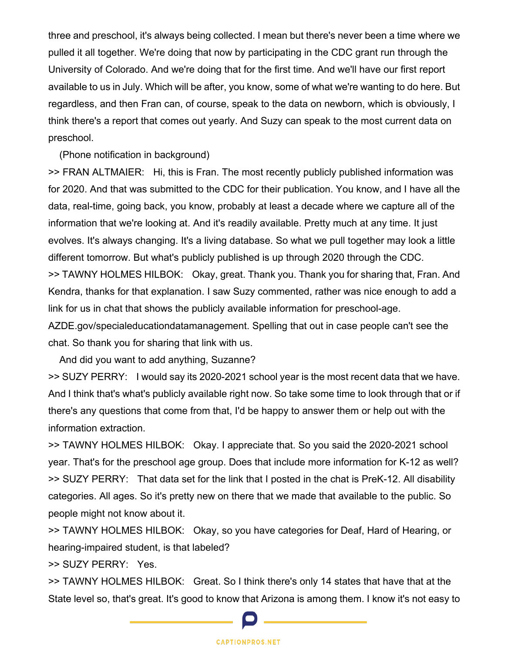three and preschool, it's always being collected. I mean but there's never been a time where we pulled it all together. We're doing that now by participating in the CDC grant run through the University of Colorado. And we're doing that for the first time. And we'll have our first report available to us in July. Which will be after, you know, some of what we're wanting to do here. But regardless, and then Fran can, of course, speak to the data on newborn, which is obviously, I think there's a report that comes out yearly. And Suzy can speak to the most current data on preschool.

(Phone notification in background)

>> FRAN ALTMAIER: Hi, this is Fran. The most recently publicly published information was for 2020. And that was submitted to the CDC for their publication. You know, and I have all the data, real-time, going back, you know, probably at least a decade where we capture all of the information that we're looking at. And it's readily available. Pretty much at any time. It just evolves. It's always changing. It's a living database. So what we pull together may look a little different tomorrow. But what's publicly published is up through 2020 through the CDC. >> TAWNY HOLMES HILBOK: Okay, great. Thank you. Thank you for sharing that, Fran. And Kendra, thanks for that explanation. I saw Suzy commented, rather was nice enough to add a link for us in chat that shows the publicly available information for preschool-age. AZDE.gov/specialeducationdatamanagement. Spelling that out in case people can't see the chat. So thank you for sharing that link with us.

And did you want to add anything, Suzanne?

>> SUZY PERRY: I would say its 2020-2021 school year is the most recent data that we have. And I think that's what's publicly available right now. So take some time to look through that or if there's any questions that come from that, I'd be happy to answer them or help out with the information extraction.

>> TAWNY HOLMES HILBOK: Okay. I appreciate that. So you said the 2020-2021 school year. That's for the preschool age group. Does that include more information for K-12 as well? >> SUZY PERRY: That data set for the link that I posted in the chat is PreK-12. All disability categories. All ages. So it's pretty new on there that we made that available to the public. So people might not know about it.

>> TAWNY HOLMES HILBOK: Okay, so you have categories for Deaf, Hard of Hearing, or hearing-impaired student, is that labeled?

>> SUZY PERRY: Yes.

>> TAWNY HOLMES HILBOK: Great. So I think there's only 14 states that have that at the State level so, that's great. It's good to know that Arizona is among them. I know it's not easy to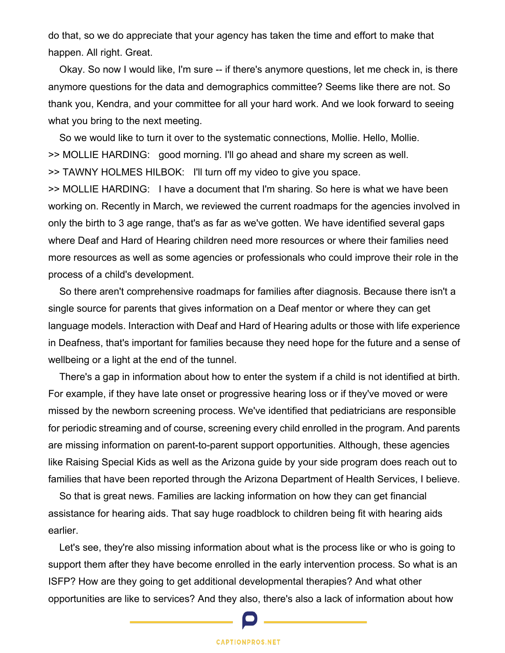do that, so we do appreciate that your agency has taken the time and effort to make that happen. All right. Great.

Okay. So now I would like, I'm sure -- if there's anymore questions, let me check in, is there anymore questions for the data and demographics committee? Seems like there are not. So thank you, Kendra, and your committee for all your hard work. And we look forward to seeing what you bring to the next meeting.

So we would like to turn it over to the systematic connections, Mollie. Hello, Mollie. >> MOLLIE HARDING: good morning. I'll go ahead and share my screen as well. >> TAWNY HOLMES HILBOK: I'll turn off my video to give you space. >> MOLLIE HARDING: I have a document that I'm sharing. So here is what we have been working on. Recently in March, we reviewed the current roadmaps for the agencies involved in only the birth to 3 age range, that's as far as we've gotten. We have identified several gaps where Deaf and Hard of Hearing children need more resources or where their families need more resources as well as some agencies or professionals who could improve their role in the

process of a child's development.

So there aren't comprehensive roadmaps for families after diagnosis. Because there isn't a single source for parents that gives information on a Deaf mentor or where they can get language models. Interaction with Deaf and Hard of Hearing adults or those with life experience in Deafness, that's important for families because they need hope for the future and a sense of wellbeing or a light at the end of the tunnel.

There's a gap in information about how to enter the system if a child is not identified at birth. For example, if they have late onset or progressive hearing loss or if they've moved or were missed by the newborn screening process. We've identified that pediatricians are responsible for periodic streaming and of course, screening every child enrolled in the program. And parents are missing information on parent-to-parent support opportunities. Although, these agencies like Raising Special Kids as well as the Arizona guide by your side program does reach out to families that have been reported through the Arizona Department of Health Services, I believe.

So that is great news. Families are lacking information on how they can get financial assistance for hearing aids. That say huge roadblock to children being fit with hearing aids earlier.

Let's see, they're also missing information about what is the process like or who is going to support them after they have become enrolled in the early intervention process. So what is an ISFP? How are they going to get additional developmental therapies? And what other opportunities are like to services? And they also, there's also a lack of information about how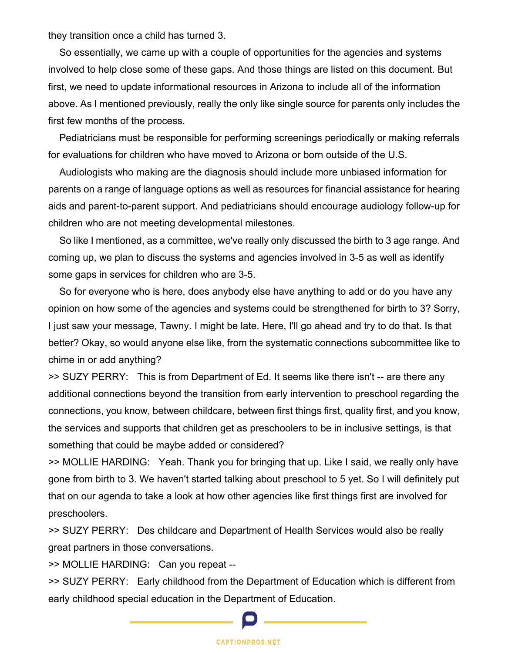they transition once a child has turned 3.

So essentially, we came up with a couple of opportunities for the agencies and systems involved to help close some of these gaps. And those things are listed on this document. But first, we need to update informational resources in Arizona to include all of the information above. As I mentioned previously, really the only like single source for parents only includes the first few months of the process.

Pediatricians must be responsible for performing screenings periodically or making referrals for evaluations for children who have moved to Arizona or born outside of the U.S.

Audiologists who making are the diagnosis should include more unbiased information for parents on a range of language options as well as resources for financial assistance for hearing aids and parent-to-parent support. And pediatricians should encourage audiology follow-up for children who are not meeting developmental milestones.

So like I mentioned, as a committee, we've really only discussed the birth to 3 age range. And coming up, we plan to discuss the systems and agencies involved in 3-5 as well as identify some gaps in services for children who are 3-5.

So for everyone who is here, does anybody else have anything to add or do you have any opinion on how some of the agencies and systems could be strengthened for birth to 3? Sorry, I just saw your message, Tawny. I might be late. Here, I'll go ahead and try to do that. Is that better? Okay, so would anyone else like, from the systematic connections subcommittee like to chime in or add anything?

>> SUZY PERRY: This is from Department of Ed. It seems like there isn't -- are there any additional connections beyond the transition from early intervention to preschool regarding the connections, you know, between childcare, between first things first, quality first, and you know, the services and supports that children get as preschoolers to be in inclusive settings, is that something that could be maybe added or considered?

>> MOLLIE HARDING: Yeah. Thank you for bringing that up. Like I said, we really only have gone from birth to 3. We haven't started talking about preschool to 5 yet. So I will definitely put that on our agenda to take a look at how other agencies like first things first are involved for preschoolers.

>> SUZY PERRY: Des childcare and Department of Health Services would also be really great partners in those conversations.

>> MOLLIE HARDING: Can you repeat --

>> SUZY PERRY: Early childhood from the Department of Education which is different from early childhood special education in the Department of Education.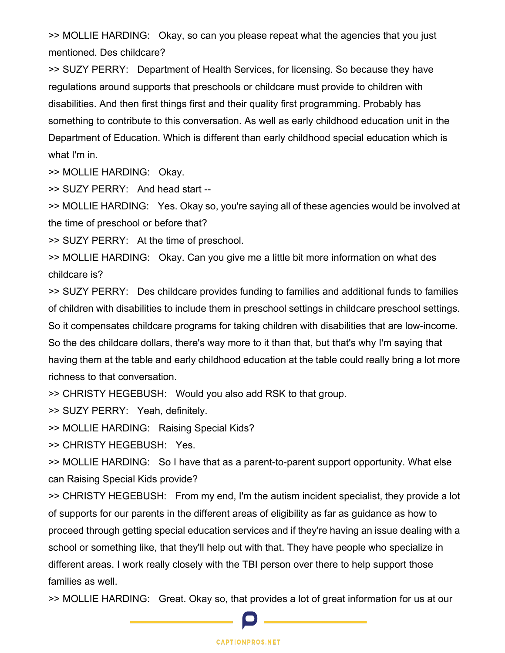>> MOLLIE HARDING: Okay, so can you please repeat what the agencies that you just mentioned. Des childcare?

>> SUZY PERRY: Department of Health Services, for licensing. So because they have regulations around supports that preschools or childcare must provide to children with disabilities. And then first things first and their quality first programming. Probably has something to contribute to this conversation. As well as early childhood education unit in the Department of Education. Which is different than early childhood special education which is what I'm in.

>> MOLLIE HARDING: Okay.

>> SUZY PERRY: And head start --

>> MOLLIE HARDING: Yes. Okay so, you're saying all of these agencies would be involved at the time of preschool or before that?

>> SUZY PERRY: At the time of preschool.

>> MOLLIE HARDING: Okay. Can you give me a little bit more information on what des childcare is?

>> SUZY PERRY: Des childcare provides funding to families and additional funds to families of children with disabilities to include them in preschool settings in childcare preschool settings. So it compensates childcare programs for taking children with disabilities that are low-income. So the des childcare dollars, there's way more to it than that, but that's why I'm saying that having them at the table and early childhood education at the table could really bring a lot more richness to that conversation.

>> CHRISTY HEGEBUSH: Would you also add RSK to that group.

>> SUZY PERRY: Yeah, definitely.

>> MOLLIE HARDING: Raising Special Kids?

>> CHRISTY HEGEBUSH: Yes.

>> MOLLIE HARDING: So I have that as a parent-to-parent support opportunity. What else can Raising Special Kids provide?

>> CHRISTY HEGEBUSH: From my end, I'm the autism incident specialist, they provide a lot of supports for our parents in the different areas of eligibility as far as guidance as how to proceed through getting special education services and if they're having an issue dealing with a school or something like, that they'll help out with that. They have people who specialize in different areas. I work really closely with the TBI person over there to help support those families as well.

>> MOLLIE HARDING: Great. Okay so, that provides a lot of great information for us at our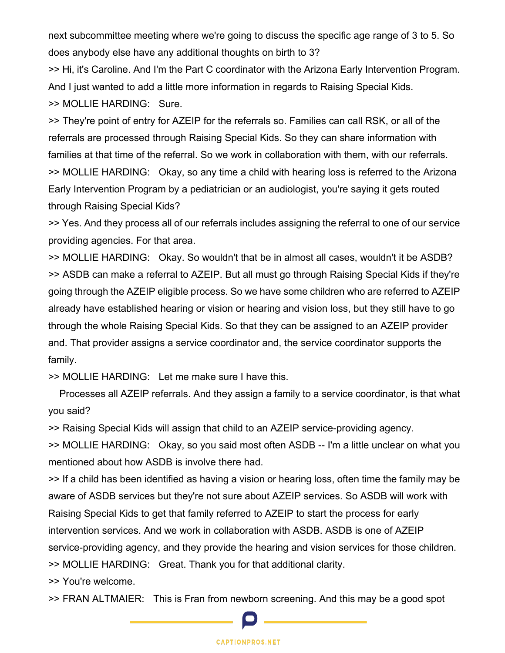next subcommittee meeting where we're going to discuss the specific age range of 3 to 5. So does anybody else have any additional thoughts on birth to 3?

>> Hi, it's Caroline. And I'm the Part C coordinator with the Arizona Early Intervention Program. And I just wanted to add a little more information in regards to Raising Special Kids. >> MOLLIE HARDING: Sure.

>> They're point of entry for AZEIP for the referrals so. Families can call RSK, or all of the referrals are processed through Raising Special Kids. So they can share information with families at that time of the referral. So we work in collaboration with them, with our referrals. >> MOLLIE HARDING: Okay, so any time a child with hearing loss is referred to the Arizona Early Intervention Program by a pediatrician or an audiologist, you're saying it gets routed through Raising Special Kids?

>> Yes. And they process all of our referrals includes assigning the referral to one of our service providing agencies. For that area.

>> MOLLIE HARDING: Okay. So wouldn't that be in almost all cases, wouldn't it be ASDB? >> ASDB can make a referral to AZEIP. But all must go through Raising Special Kids if they're going through the AZEIP eligible process. So we have some children who are referred to AZEIP already have established hearing or vision or hearing and vision loss, but they still have to go through the whole Raising Special Kids. So that they can be assigned to an AZEIP provider and. That provider assigns a service coordinator and, the service coordinator supports the family.

>> MOLLIE HARDING: Let me make sure I have this.

Processes all AZEIP referrals. And they assign a family to a service coordinator, is that what you said?

>> Raising Special Kids will assign that child to an AZEIP service-providing agency.

>> MOLLIE HARDING: Okay, so you said most often ASDB -- I'm a little unclear on what you mentioned about how ASDB is involve there had.

>> If a child has been identified as having a vision or hearing loss, often time the family may be aware of ASDB services but they're not sure about AZEIP services. So ASDB will work with Raising Special Kids to get that family referred to AZEIP to start the process for early intervention services. And we work in collaboration with ASDB. ASDB is one of AZEIP service-providing agency, and they provide the hearing and vision services for those children. >> MOLLIE HARDING: Great. Thank you for that additional clarity.

>> You're welcome.

>> FRAN ALTMAIER: This is Fran from newborn screening. And this may be a good spot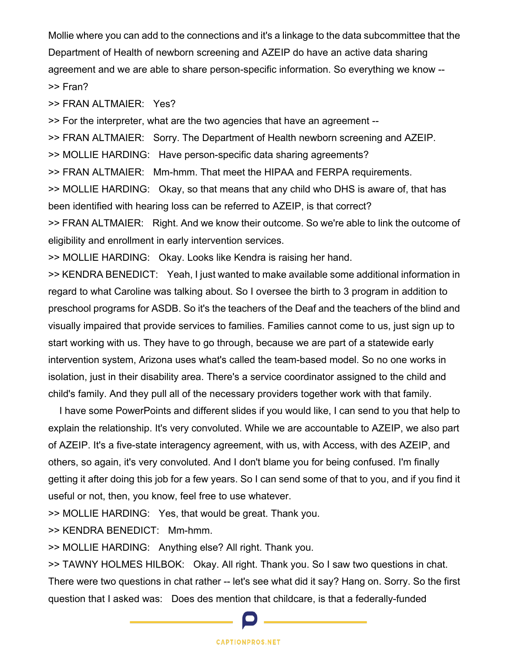Mollie where you can add to the connections and it's a linkage to the data subcommittee that the Department of Health of newborn screening and AZEIP do have an active data sharing agreement and we are able to share person-specific information. So everything we know -- >> Fran?

>> FRAN ALTMAIER: Yes?

>> For the interpreter, what are the two agencies that have an agreement --

>> FRAN ALTMAIER: Sorry. The Department of Health newborn screening and AZEIP.

>> MOLLIE HARDING: Have person-specific data sharing agreements?

>> FRAN ALTMAIER: Mm-hmm. That meet the HIPAA and FERPA requirements.

>> MOLLIE HARDING: Okay, so that means that any child who DHS is aware of, that has been identified with hearing loss can be referred to AZEIP, is that correct?

>> FRAN ALTMAIER: Right. And we know their outcome. So we're able to link the outcome of eligibility and enrollment in early intervention services.

>> MOLLIE HARDING: Okay. Looks like Kendra is raising her hand.

>> KENDRA BENEDICT: Yeah, I just wanted to make available some additional information in regard to what Caroline was talking about. So I oversee the birth to 3 program in addition to preschool programs for ASDB. So it's the teachers of the Deaf and the teachers of the blind and visually impaired that provide services to families. Families cannot come to us, just sign up to start working with us. They have to go through, because we are part of a statewide early intervention system, Arizona uses what's called the team-based model. So no one works in isolation, just in their disability area. There's a service coordinator assigned to the child and child's family. And they pull all of the necessary providers together work with that family.

I have some PowerPoints and different slides if you would like, I can send to you that help to explain the relationship. It's very convoluted. While we are accountable to AZEIP, we also part of AZEIP. It's a five-state interagency agreement, with us, with Access, with des AZEIP, and others, so again, it's very convoluted. And I don't blame you for being confused. I'm finally getting it after doing this job for a few years. So I can send some of that to you, and if you find it useful or not, then, you know, feel free to use whatever.

>> MOLLIE HARDING: Yes, that would be great. Thank you.

>> KENDRA BENEDICT: Mm-hmm.

>> MOLLIE HARDING: Anything else? All right. Thank you.

>> TAWNY HOLMES HILBOK: Okay. All right. Thank you. So I saw two questions in chat. There were two questions in chat rather -- let's see what did it say? Hang on. Sorry. So the first question that I asked was: Does des mention that childcare, is that a federally-funded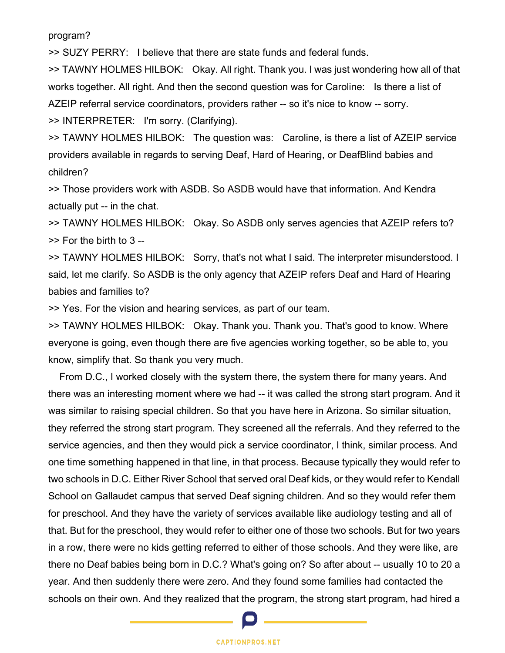program?

>> SUZY PERRY: I believe that there are state funds and federal funds.

>> TAWNY HOLMES HILBOK: Okay. All right. Thank you. I was just wondering how all of that works together. All right. And then the second question was for Caroline: Is there a list of AZEIP referral service coordinators, providers rather -- so it's nice to know -- sorry.

>> INTERPRETER: I'm sorry. (Clarifying).

>> TAWNY HOLMES HILBOK: The question was: Caroline, is there a list of AZEIP service providers available in regards to serving Deaf, Hard of Hearing, or DeafBlind babies and children?

>> Those providers work with ASDB. So ASDB would have that information. And Kendra actually put -- in the chat.

>> TAWNY HOLMES HILBOK: Okay. So ASDB only serves agencies that AZEIP refers to? >> For the birth to 3 --

>> TAWNY HOLMES HILBOK: Sorry, that's not what I said. The interpreter misunderstood. I said, let me clarify. So ASDB is the only agency that AZEIP refers Deaf and Hard of Hearing babies and families to?

>> Yes. For the vision and hearing services, as part of our team.

>> TAWNY HOLMES HILBOK: Okay. Thank you. Thank you. That's good to know. Where everyone is going, even though there are five agencies working together, so be able to, you know, simplify that. So thank you very much.

From D.C., I worked closely with the system there, the system there for many years. And there was an interesting moment where we had -- it was called the strong start program. And it was similar to raising special children. So that you have here in Arizona. So similar situation, they referred the strong start program. They screened all the referrals. And they referred to the service agencies, and then they would pick a service coordinator, I think, similar process. And one time something happened in that line, in that process. Because typically they would refer to two schools in D.C. Either River School that served oral Deaf kids, or they would refer to Kendall School on Gallaudet campus that served Deaf signing children. And so they would refer them for preschool. And they have the variety of services available like audiology testing and all of that. But for the preschool, they would refer to either one of those two schools. But for two years in a row, there were no kids getting referred to either of those schools. And they were like, are there no Deaf babies being born in D.C.? What's going on? So after about -- usually 10 to 20 a year. And then suddenly there were zero. And they found some families had contacted the schools on their own. And they realized that the program, the strong start program, had hired a

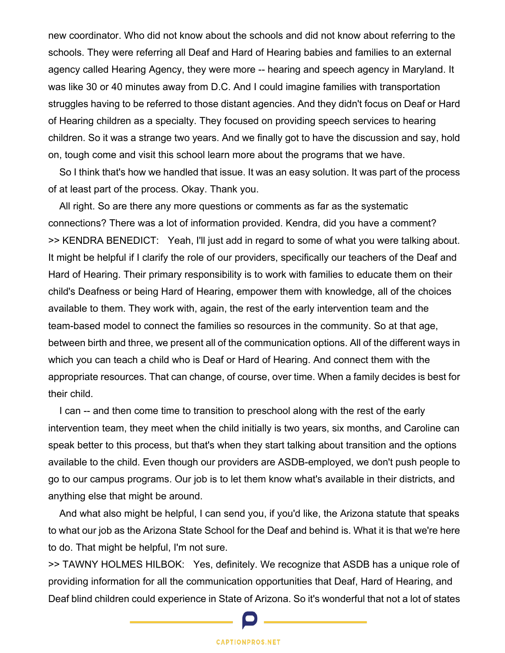new coordinator. Who did not know about the schools and did not know about referring to the schools. They were referring all Deaf and Hard of Hearing babies and families to an external agency called Hearing Agency, they were more -- hearing and speech agency in Maryland. It was like 30 or 40 minutes away from D.C. And I could imagine families with transportation struggles having to be referred to those distant agencies. And they didn't focus on Deaf or Hard of Hearing children as a specialty. They focused on providing speech services to hearing children. So it was a strange two years. And we finally got to have the discussion and say, hold on, tough come and visit this school learn more about the programs that we have.

So I think that's how we handled that issue. It was an easy solution. It was part of the process of at least part of the process. Okay. Thank you.

All right. So are there any more questions or comments as far as the systematic connections? There was a lot of information provided. Kendra, did you have a comment? >> KENDRA BENEDICT: Yeah, I'll just add in regard to some of what you were talking about. It might be helpful if I clarify the role of our providers, specifically our teachers of the Deaf and Hard of Hearing. Their primary responsibility is to work with families to educate them on their child's Deafness or being Hard of Hearing, empower them with knowledge, all of the choices available to them. They work with, again, the rest of the early intervention team and the team-based model to connect the families so resources in the community. So at that age, between birth and three, we present all of the communication options. All of the different ways in which you can teach a child who is Deaf or Hard of Hearing. And connect them with the appropriate resources. That can change, of course, over time. When a family decides is best for their child.

I can -- and then come time to transition to preschool along with the rest of the early intervention team, they meet when the child initially is two years, six months, and Caroline can speak better to this process, but that's when they start talking about transition and the options available to the child. Even though our providers are ASDB-employed, we don't push people to go to our campus programs. Our job is to let them know what's available in their districts, and anything else that might be around.

And what also might be helpful, I can send you, if you'd like, the Arizona statute that speaks to what our job as the Arizona State School for the Deaf and behind is. What it is that we're here to do. That might be helpful, I'm not sure.

>> TAWNY HOLMES HILBOK: Yes, definitely. We recognize that ASDB has a unique role of providing information for all the communication opportunities that Deaf, Hard of Hearing, and Deaf blind children could experience in State of Arizona. So it's wonderful that not a lot of states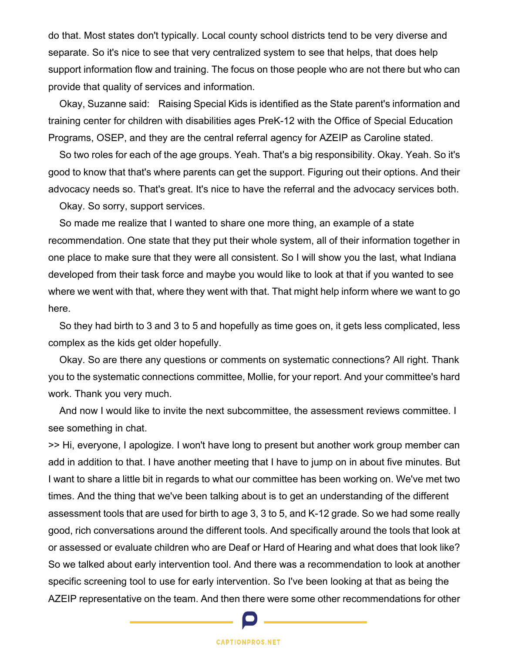do that. Most states don't typically. Local county school districts tend to be very diverse and separate. So it's nice to see that very centralized system to see that helps, that does help support information flow and training. The focus on those people who are not there but who can provide that quality of services and information.

Okay, Suzanne said: Raising Special Kids is identified as the State parent's information and training center for children with disabilities ages PreK-12 with the Office of Special Education Programs, OSEP, and they are the central referral agency for AZEIP as Caroline stated.

So two roles for each of the age groups. Yeah. That's a big responsibility. Okay. Yeah. So it's good to know that that's where parents can get the support. Figuring out their options. And their advocacy needs so. That's great. It's nice to have the referral and the advocacy services both.

Okay. So sorry, support services.

So made me realize that I wanted to share one more thing, an example of a state recommendation. One state that they put their whole system, all of their information together in one place to make sure that they were all consistent. So I will show you the last, what Indiana developed from their task force and maybe you would like to look at that if you wanted to see where we went with that, where they went with that. That might help inform where we want to go here.

So they had birth to 3 and 3 to 5 and hopefully as time goes on, it gets less complicated, less complex as the kids get older hopefully.

Okay. So are there any questions or comments on systematic connections? All right. Thank you to the systematic connections committee, Mollie, for your report. And your committee's hard work. Thank you very much.

And now I would like to invite the next subcommittee, the assessment reviews committee. I see something in chat.

>> Hi, everyone, I apologize. I won't have long to present but another work group member can add in addition to that. I have another meeting that I have to jump on in about five minutes. But I want to share a little bit in regards to what our committee has been working on. We've met two times. And the thing that we've been talking about is to get an understanding of the different assessment tools that are used for birth to age 3, 3 to 5, and K-12 grade. So we had some really good, rich conversations around the different tools. And specifically around the tools that look at or assessed or evaluate children who are Deaf or Hard of Hearing and what does that look like? So we talked about early intervention tool. And there was a recommendation to look at another specific screening tool to use for early intervention. So I've been looking at that as being the AZEIP representative on the team. And then there were some other recommendations for other

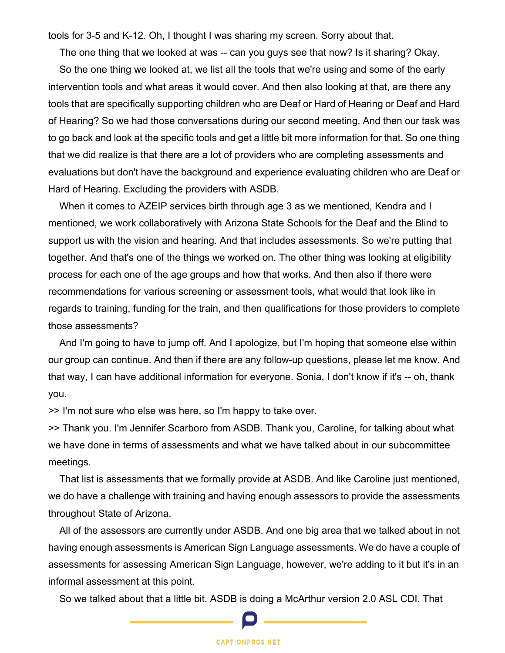tools for 3-5 and K-12. Oh, I thought I was sharing my screen. Sorry about that.

The one thing that we looked at was -- can you guys see that now? Is it sharing? Okay.

So the one thing we looked at, we list all the tools that we're using and some of the early intervention tools and what areas it would cover. And then also looking at that, are there any tools that are specifically supporting children who are Deaf or Hard of Hearing or Deaf and Hard of Hearing? So we had those conversations during our second meeting. And then our task was to go back and look at the specific tools and get a little bit more information for that. So one thing that we did realize is that there are a lot of providers who are completing assessments and evaluations but don't have the background and experience evaluating children who are Deaf or Hard of Hearing. Excluding the providers with ASDB.

When it comes to AZEIP services birth through age 3 as we mentioned, Kendra and I mentioned, we work collaboratively with Arizona State Schools for the Deaf and the Blind to support us with the vision and hearing. And that includes assessments. So we're putting that together. And that's one of the things we worked on. The other thing was looking at eligibility process for each one of the age groups and how that works. And then also if there were recommendations for various screening or assessment tools, what would that look like in regards to training, funding for the train, and then qualifications for those providers to complete those assessments?

And I'm going to have to jump off. And I apologize, but I'm hoping that someone else within our group can continue. And then if there are any follow-up questions, please let me know. And that way, I can have additional information for everyone. Sonia, I don't know if it's -- oh, thank you.

>> I'm not sure who else was here, so I'm happy to take over.

>> Thank you. I'm Jennifer Scarboro from ASDB. Thank you, Caroline, for talking about what we have done in terms of assessments and what we have talked about in our subcommittee meetings.

That list is assessments that we formally provide at ASDB. And like Caroline just mentioned, we do have a challenge with training and having enough assessors to provide the assessments throughout State of Arizona.

All of the assessors are currently under ASDB. And one big area that we talked about in not having enough assessments is American Sign Language assessments. We do have a couple of assessments for assessing American Sign Language, however, we're adding to it but it's in an informal assessment at this point.

So we talked about that a little bit. ASDB is doing a McArthur version 2.0 ASL CDI. That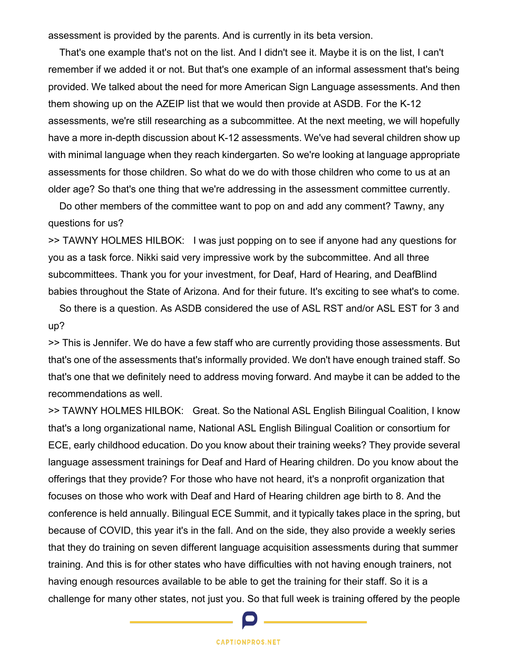assessment is provided by the parents. And is currently in its beta version.

That's one example that's not on the list. And I didn't see it. Maybe it is on the list, I can't remember if we added it or not. But that's one example of an informal assessment that's being provided. We talked about the need for more American Sign Language assessments. And then them showing up on the AZEIP list that we would then provide at ASDB. For the K-12 assessments, we're still researching as a subcommittee. At the next meeting, we will hopefully have a more in-depth discussion about K-12 assessments. We've had several children show up with minimal language when they reach kindergarten. So we're looking at language appropriate assessments for those children. So what do we do with those children who come to us at an older age? So that's one thing that we're addressing in the assessment committee currently.

Do other members of the committee want to pop on and add any comment? Tawny, any questions for us?

>> TAWNY HOLMES HILBOK: I was just popping on to see if anyone had any questions for you as a task force. Nikki said very impressive work by the subcommittee. And all three subcommittees. Thank you for your investment, for Deaf, Hard of Hearing, and DeafBlind babies throughout the State of Arizona. And for their future. It's exciting to see what's to come.

So there is a question. As ASDB considered the use of ASL RST and/or ASL EST for 3 and up?

>> This is Jennifer. We do have a few staff who are currently providing those assessments. But that's one of the assessments that's informally provided. We don't have enough trained staff. So that's one that we definitely need to address moving forward. And maybe it can be added to the recommendations as well.

>> TAWNY HOLMES HILBOK: Great. So the National ASL English Bilingual Coalition, I know that's a long organizational name, National ASL English Bilingual Coalition or consortium for ECE, early childhood education. Do you know about their training weeks? They provide several language assessment trainings for Deaf and Hard of Hearing children. Do you know about the offerings that they provide? For those who have not heard, it's a nonprofit organization that focuses on those who work with Deaf and Hard of Hearing children age birth to 8. And the conference is held annually. Bilingual ECE Summit, and it typically takes place in the spring, but because of COVID, this year it's in the fall. And on the side, they also provide a weekly series that they do training on seven different language acquisition assessments during that summer training. And this is for other states who have difficulties with not having enough trainers, not having enough resources available to be able to get the training for their staff. So it is a challenge for many other states, not just you. So that full week is training offered by the people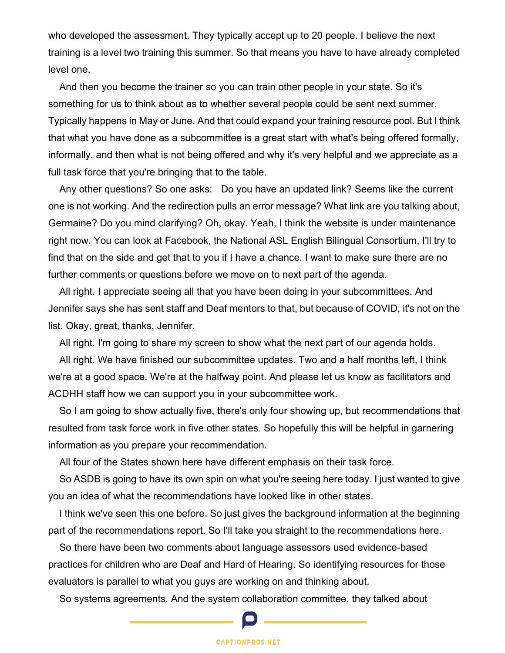who developed the assessment. They typically accept up to 20 people. I believe the next training is a level two training this summer. So that means you have to have already completed level one.

And then you become the trainer so you can train other people in your state. So it's something for us to think about as to whether several people could be sent next summer. Typically happens in May or June. And that could expand your training resource pool. But I think that what you have done as a subcommittee is a great start with what's being offered formally, informally, and then what is not being offered and why it's very helpful and we appreciate as a full task force that you're bringing that to the table.

Any other questions? So one asks: Do you have an updated link? Seems like the current one is not working. And the redirection pulls an error message? What link are you talking about, Germaine? Do you mind clarifying? Oh, okay. Yeah, I think the website is under maintenance right now. You can look at Facebook, the National ASL English Bilingual Consortium, I'll try to find that on the side and get that to you if I have a chance. I want to make sure there are no further comments or questions before we move on to next part of the agenda.

All right. I appreciate seeing all that you have been doing in your subcommittees. And Jennifer says she has sent staff and Deaf mentors to that, but because of COVID, it's not on the list. Okay, great, thanks, Jennifer.

All right. I'm going to share my screen to show what the next part of our agenda holds.

All right. We have finished our subcommittee updates. Two and a half months left, I think we're at a good space. We're at the halfway point. And please let us know as facilitators and ACDHH staff how we can support you in your subcommittee work.

So I am going to show actually five, there's only four showing up, but recommendations that resulted from task force work in five other states. So hopefully this will be helpful in garnering information as you prepare your recommendation.

All four of the States shown here have different emphasis on their task force.

So ASDB is going to have its own spin on what you're seeing here today. I just wanted to give you an idea of what the recommendations have looked like in other states.

I think we've seen this one before. So just gives the background information at the beginning part of the recommendations report. So I'll take you straight to the recommendations here.

So there have been two comments about language assessors used evidence-based practices for children who are Deaf and Hard of Hearing. So identifying resources for those evaluators is parallel to what you guys are working on and thinking about.

So systems agreements. And the system collaboration committee, they talked about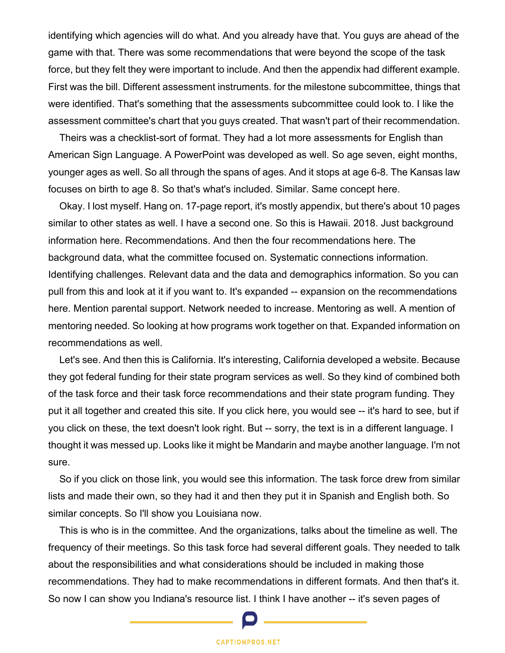identifying which agencies will do what. And you already have that. You guys are ahead of the game with that. There was some recommendations that were beyond the scope of the task force, but they felt they were important to include. And then the appendix had different example. First was the bill. Different assessment instruments. for the milestone subcommittee, things that were identified. That's something that the assessments subcommittee could look to. I like the assessment committee's chart that you guys created. That wasn't part of their recommendation.

Theirs was a checklist-sort of format. They had a lot more assessments for English than American Sign Language. A PowerPoint was developed as well. So age seven, eight months, younger ages as well. So all through the spans of ages. And it stops at age 6-8. The Kansas law focuses on birth to age 8. So that's what's included. Similar. Same concept here.

Okay. I lost myself. Hang on. 17-page report, it's mostly appendix, but there's about 10 pages similar to other states as well. I have a second one. So this is Hawaii. 2018. Just background information here. Recommendations. And then the four recommendations here. The background data, what the committee focused on. Systematic connections information. Identifying challenges. Relevant data and the data and demographics information. So you can pull from this and look at it if you want to. It's expanded -- expansion on the recommendations here. Mention parental support. Network needed to increase. Mentoring as well. A mention of mentoring needed. So looking at how programs work together on that. Expanded information on recommendations as well.

Let's see. And then this is California. It's interesting, California developed a website. Because they got federal funding for their state program services as well. So they kind of combined both of the task force and their task force recommendations and their state program funding. They put it all together and created this site. If you click here, you would see -- it's hard to see, but if you click on these, the text doesn't look right. But -- sorry, the text is in a different language. I thought it was messed up. Looks like it might be Mandarin and maybe another language. I'm not sure.

So if you click on those link, you would see this information. The task force drew from similar lists and made their own, so they had it and then they put it in Spanish and English both. So similar concepts. So I'll show you Louisiana now.

This is who is in the committee. And the organizations, talks about the timeline as well. The frequency of their meetings. So this task force had several different goals. They needed to talk about the responsibilities and what considerations should be included in making those recommendations. They had to make recommendations in different formats. And then that's it. So now I can show you Indiana's resource list. I think I have another -- it's seven pages of

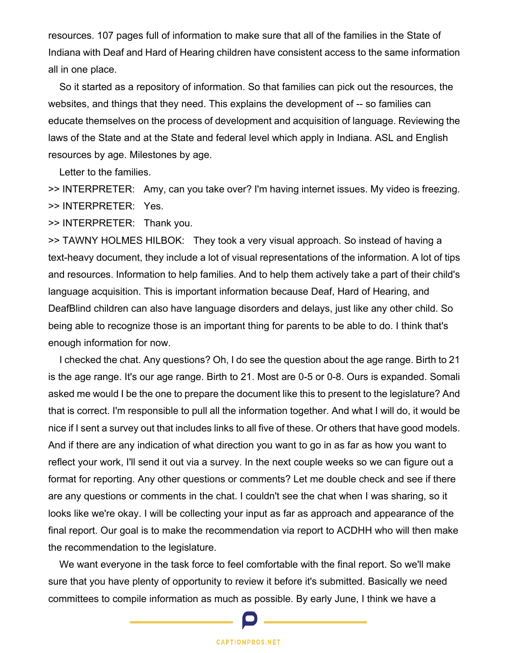resources. 107 pages full of information to make sure that all of the families in the State of Indiana with Deaf and Hard of Hearing children have consistent access to the same information all in one place.

So it started as a repository of information. So that families can pick out the resources, the websites, and things that they need. This explains the development of -- so families can educate themselves on the process of development and acquisition of language. Reviewing the laws of the State and at the State and federal level which apply in Indiana. ASL and English resources by age. Milestones by age.

Letter to the families.

>> INTERPRETER: Amy, can you take over? I'm having internet issues. My video is freezing. >> INTERPRETER: Yes.

>> INTERPRETER: Thank you.

>> TAWNY HOLMES HILBOK: They took a very visual approach. So instead of having a text-heavy document, they include a lot of visual representations of the information. A lot of tips and resources. Information to help families. And to help them actively take a part of their child's language acquisition. This is important information because Deaf, Hard of Hearing, and DeafBlind children can also have language disorders and delays, just like any other child. So being able to recognize those is an important thing for parents to be able to do. I think that's enough information for now.

I checked the chat. Any questions? Oh, I do see the question about the age range. Birth to 21 is the age range. It's our age range. Birth to 21. Most are 0-5 or 0-8. Ours is expanded. Somali asked me would I be the one to prepare the document like this to present to the legislature? And that is correct. I'm responsible to pull all the information together. And what I will do, it would be nice if I sent a survey out that includes links to all five of these. Or others that have good models. And if there are any indication of what direction you want to go in as far as how you want to reflect your work, I'll send it out via a survey. In the next couple weeks so we can figure out a format for reporting. Any other questions or comments? Let me double check and see if there are any questions or comments in the chat. I couldn't see the chat when I was sharing, so it looks like we're okay. I will be collecting your input as far as approach and appearance of the final report. Our goal is to make the recommendation via report to ACDHH who will then make the recommendation to the legislature.

We want everyone in the task force to feel comfortable with the final report. So we'll make sure that you have plenty of opportunity to review it before it's submitted. Basically we need committees to compile information as much as possible. By early June, I think we have a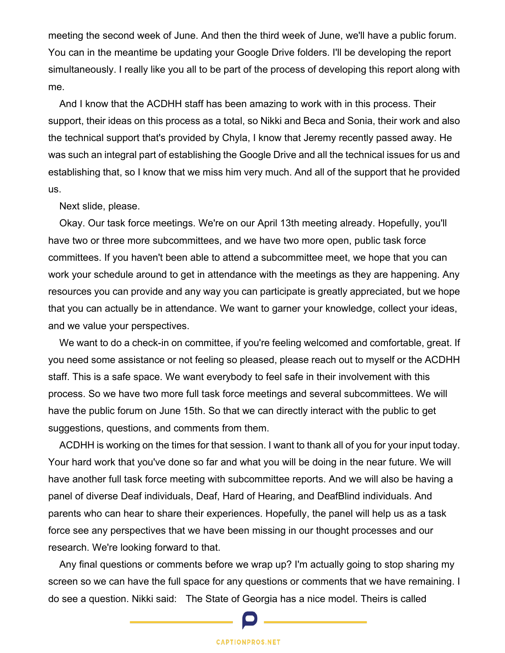meeting the second week of June. And then the third week of June, we'll have a public forum. You can in the meantime be updating your Google Drive folders. I'll be developing the report simultaneously. I really like you all to be part of the process of developing this report along with me.

And I know that the ACDHH staff has been amazing to work with in this process. Their support, their ideas on this process as a total, so Nikki and Beca and Sonia, their work and also the technical support that's provided by Chyla, I know that Jeremy recently passed away. He was such an integral part of establishing the Google Drive and all the technical issues for us and establishing that, so I know that we miss him very much. And all of the support that he provided us.

Next slide, please.

Okay. Our task force meetings. We're on our April 13th meeting already. Hopefully, you'll have two or three more subcommittees, and we have two more open, public task force committees. If you haven't been able to attend a subcommittee meet, we hope that you can work your schedule around to get in attendance with the meetings as they are happening. Any resources you can provide and any way you can participate is greatly appreciated, but we hope that you can actually be in attendance. We want to garner your knowledge, collect your ideas, and we value your perspectives.

We want to do a check-in on committee, if you're feeling welcomed and comfortable, great. If you need some assistance or not feeling so pleased, please reach out to myself or the ACDHH staff. This is a safe space. We want everybody to feel safe in their involvement with this process. So we have two more full task force meetings and several subcommittees. We will have the public forum on June 15th. So that we can directly interact with the public to get suggestions, questions, and comments from them.

ACDHH is working on the times for that session. I want to thank all of you for your input today. Your hard work that you've done so far and what you will be doing in the near future. We will have another full task force meeting with subcommittee reports. And we will also be having a panel of diverse Deaf individuals, Deaf, Hard of Hearing, and DeafBlind individuals. And parents who can hear to share their experiences. Hopefully, the panel will help us as a task force see any perspectives that we have been missing in our thought processes and our research. We're looking forward to that.

Any final questions or comments before we wrap up? I'm actually going to stop sharing my screen so we can have the full space for any questions or comments that we have remaining. I do see a question. Nikki said: The State of Georgia has a nice model. Theirs is called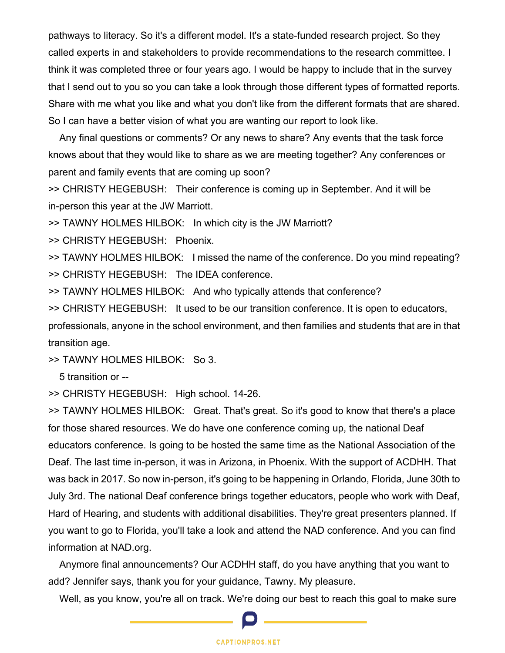pathways to literacy. So it's a different model. It's a state-funded research project. So they called experts in and stakeholders to provide recommendations to the research committee. I think it was completed three or four years ago. I would be happy to include that in the survey that I send out to you so you can take a look through those different types of formatted reports. Share with me what you like and what you don't like from the different formats that are shared. So I can have a better vision of what you are wanting our report to look like.

Any final questions or comments? Or any news to share? Any events that the task force knows about that they would like to share as we are meeting together? Any conferences or parent and family events that are coming up soon?

>> CHRISTY HEGEBUSH: Their conference is coming up in September. And it will be in-person this year at the JW Marriott.

>> TAWNY HOLMES HILBOK: In which city is the JW Marriott?

>> CHRISTY HEGEBUSH: Phoenix.

>> TAWNY HOLMES HILBOK: I missed the name of the conference. Do you mind repeating? >> CHRISTY HEGEBUSH: The IDEA conference.

>> TAWNY HOLMES HILBOK: And who typically attends that conference?

>> CHRISTY HEGEBUSH: It used to be our transition conference. It is open to educators, professionals, anyone in the school environment, and then families and students that are in that transition age.

 $\geq$  TAWNY HOLMES HILBOK: So 3.

5 transition or --

>> CHRISTY HEGEBUSH: High school. 14-26.

>> TAWNY HOLMES HILBOK: Great. That's great. So it's good to know that there's a place for those shared resources. We do have one conference coming up, the national Deaf educators conference. Is going to be hosted the same time as the National Association of the Deaf. The last time in-person, it was in Arizona, in Phoenix. With the support of ACDHH. That was back in 2017. So now in-person, it's going to be happening in Orlando, Florida, June 30th to July 3rd. The national Deaf conference brings together educators, people who work with Deaf, Hard of Hearing, and students with additional disabilities. They're great presenters planned. If you want to go to Florida, you'll take a look and attend the NAD conference. And you can find information at NAD.org.

Anymore final announcements? Our ACDHH staff, do you have anything that you want to add? Jennifer says, thank you for your guidance, Tawny. My pleasure.

Well, as you know, you're all on track. We're doing our best to reach this goal to make sure